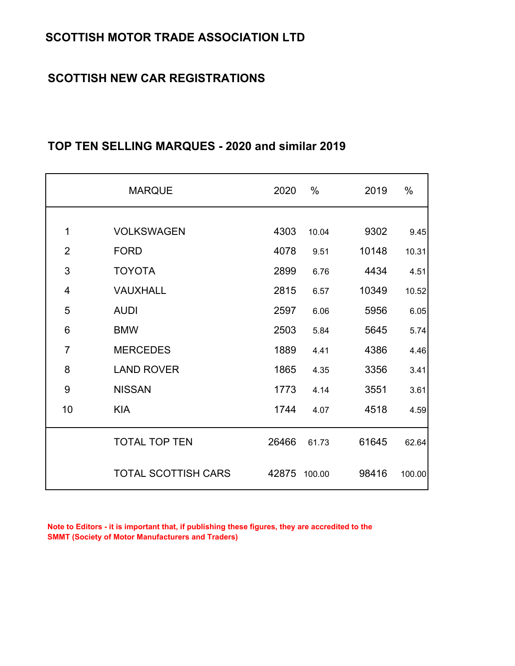# **SCOTTISH NEW CAR REGISTRATIONS**

|                | <b>MARQUE</b>              | 2020  | $\%$   | 2019  | %      |
|----------------|----------------------------|-------|--------|-------|--------|
|                |                            |       |        |       |        |
| 1              | <b>VOLKSWAGEN</b>          | 4303  | 10.04  | 9302  | 9.45   |
| $\overline{2}$ | <b>FORD</b>                | 4078  | 9.51   | 10148 | 10.31  |
| 3              | <b>TOYOTA</b>              | 2899  | 6.76   | 4434  | 4.51   |
| 4              | VAUXHALL                   | 2815  | 6.57   | 10349 | 10.52  |
| 5              | <b>AUDI</b>                | 2597  | 6.06   | 5956  | 6.05   |
| 6              | <b>BMW</b>                 | 2503  | 5.84   | 5645  | 5.74   |
| $\overline{7}$ | <b>MERCEDES</b>            | 1889  | 4.41   | 4386  | 4.46   |
| 8              | <b>LAND ROVER</b>          | 1865  | 4.35   | 3356  | 3.41   |
| 9              | <b>NISSAN</b>              | 1773  | 4.14   | 3551  | 3.61   |
| 10             | <b>KIA</b>                 | 1744  | 4.07   | 4518  | 4.59   |
|                | <b>TOTAL TOP TEN</b>       | 26466 | 61.73  | 61645 | 62.64  |
|                | <b>TOTAL SCOTTISH CARS</b> | 42875 | 100.00 | 98416 | 100.00 |

# **TOP TEN SELLING MARQUES - 2020 and similar 2019**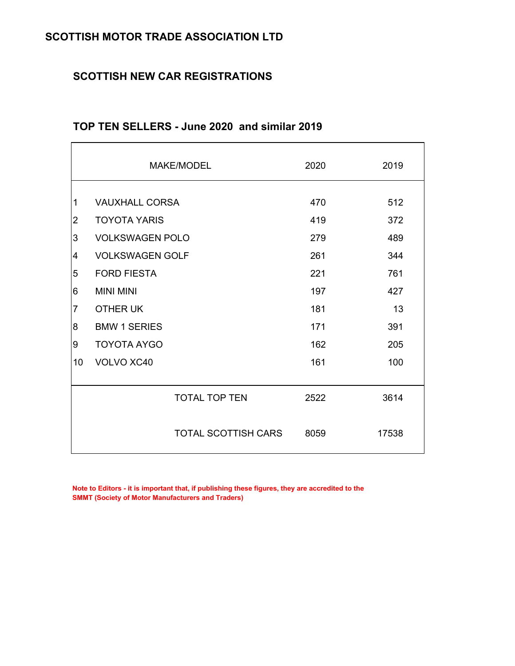## **SCOTTISH NEW CAR REGISTRATIONS**

|                |                        | <b>MAKE/MODEL</b>    | 2020 | 2019  |
|----------------|------------------------|----------------------|------|-------|
| 1              | <b>VAUXHALL CORSA</b>  |                      | 470  | 512   |
| $\overline{2}$ | <b>TOYOTA YARIS</b>    |                      | 419  | 372   |
|                |                        |                      |      |       |
| 3              | <b>VOLKSWAGEN POLO</b> |                      | 279  | 489   |
| 4              | <b>VOLKSWAGEN GOLF</b> |                      | 261  | 344   |
| 5              | <b>FORD FIESTA</b>     |                      | 221  | 761   |
| 6              | <b>MINI MINI</b>       |                      | 197  | 427   |
| $\overline{7}$ | <b>OTHER UK</b>        |                      | 181  | 13    |
| 8              | <b>BMW 1 SERIES</b>    |                      | 171  | 391   |
| 9              | <b>TOYOTA AYGO</b>     |                      | 162  | 205   |
| 10             | VOLVO XC40             |                      | 161  | 100   |
|                |                        | <b>TOTAL TOP TEN</b> | 2522 | 3614  |
|                |                        | TOTAL SCOTTISH CARS  | 8059 | 17538 |

## **TOP TEN SELLERS - June 2020 and similar 2019**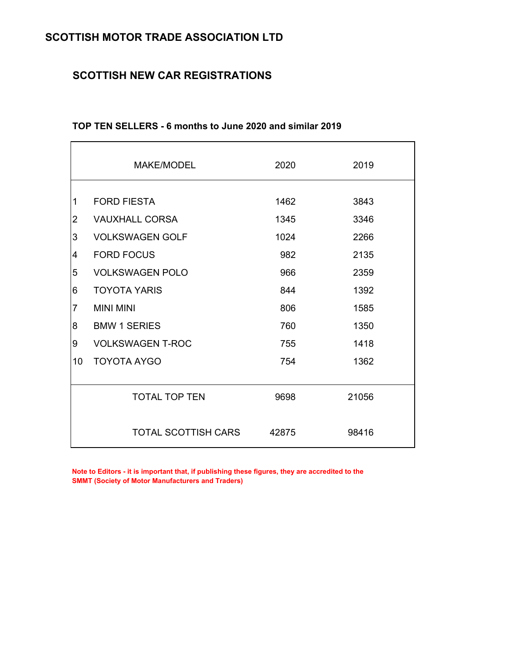## **SCOTTISH NEW CAR REGISTRATIONS**

|                | <b>MAKE/MODEL</b>          | 2020  | 2019  |
|----------------|----------------------------|-------|-------|
| $\mathbf 1$    | <b>FORD FIESTA</b>         | 1462  | 3843  |
| $\overline{2}$ | <b>VAUXHALL CORSA</b>      | 1345  | 3346  |
| 3              | <b>VOLKSWAGEN GOLF</b>     | 1024  | 2266  |
| 4              | <b>FORD FOCUS</b>          | 982   | 2135  |
| 5              | <b>VOLKSWAGEN POLO</b>     | 966   | 2359  |
| 6              | <b>TOYOTA YARIS</b>        | 844   | 1392  |
| $\overline{7}$ | <b>MINI MINI</b>           | 806   | 1585  |
| 8              | <b>BMW 1 SERIES</b>        | 760   | 1350  |
| 9              | <b>VOLKSWAGEN T-ROC</b>    | 755   | 1418  |
| 10             | <b>TOYOTA AYGO</b>         | 754   | 1362  |
|                | <b>TOTAL TOP TEN</b>       | 9698  | 21056 |
|                | <b>TOTAL SCOTTISH CARS</b> | 42875 | 98416 |

#### **TOP TEN SELLERS - 6 months to June 2020 and similar 2019**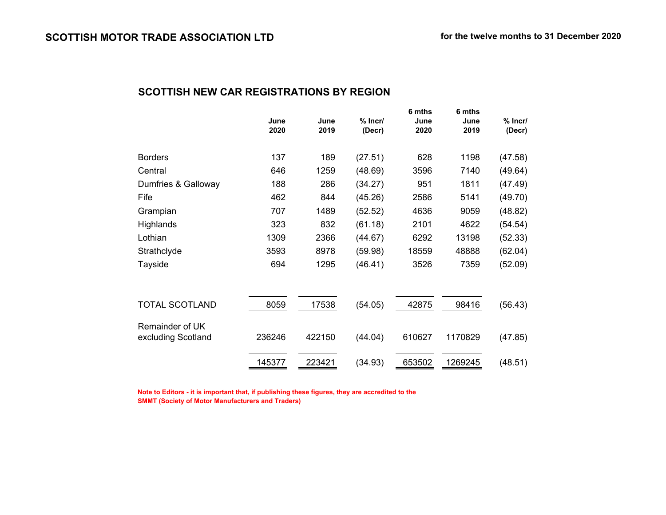#### **SCOTTISH NEW CAR REGISTRATIONS BY REGION**

|                       | June   | June   | $%$ Incr/ | 6 mths<br>June | 6 mths<br>June | $%$ Incr/ |
|-----------------------|--------|--------|-----------|----------------|----------------|-----------|
|                       | 2020   | 2019   | (Decr)    | 2020           | 2019           | (Decr)    |
|                       |        |        |           |                |                |           |
| <b>Borders</b>        | 137    | 189    | (27.51)   | 628            | 1198           | (47.58)   |
| Central               | 646    | 1259   | (48.69)   | 3596           | 7140           | (49.64)   |
| Dumfries & Galloway   | 188    | 286    | (34.27)   | 951            | 1811           | (47.49)   |
| Fife                  | 462    | 844    | (45.26)   | 2586           | 5141           | (49.70)   |
| Grampian              | 707    | 1489   | (52.52)   | 4636           | 9059           | (48.82)   |
| Highlands             | 323    | 832    | (61.18)   | 2101           | 4622           | (54.54)   |
| Lothian               | 1309   | 2366   | (44.67)   | 6292           | 13198          | (52.33)   |
| Strathclyde           | 3593   | 8978   | (59.98)   | 18559          | 48888          | (62.04)   |
| Tayside               | 694    | 1295   | (46.41)   | 3526           | 7359           | (52.09)   |
|                       |        |        |           |                |                |           |
|                       |        |        |           |                |                |           |
| <b>TOTAL SCOTLAND</b> | 8059   | 17538  | (54.05)   | 42875          | 98416          | (56.43)   |
| Remainder of UK       |        |        |           |                |                |           |
| excluding Scotland    | 236246 | 422150 | (44.04)   | 610627         | 1170829        | (47.85)   |
|                       |        |        |           |                |                |           |
|                       | 145377 | 223421 | (34.93)   | 653502         | 1269245        | (48.51)   |